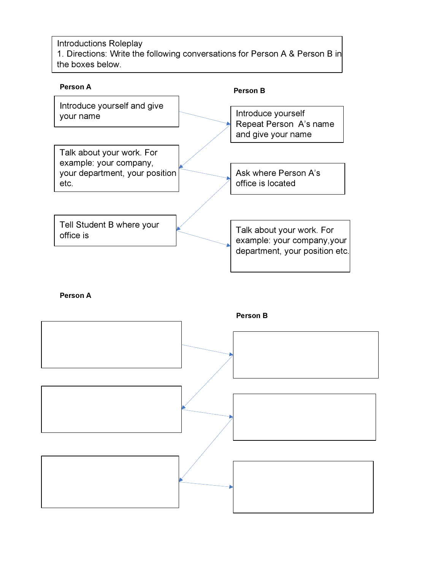Introductions Roleplay 1. Directions: Write the following conversations for Person A & Person B in the boxes below.



Person A

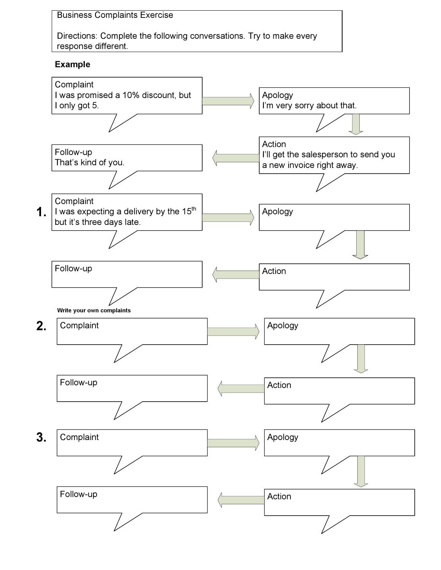Business Complaints Exercise

Directions: Complete the following conversations. Try to make every response different.

## Example